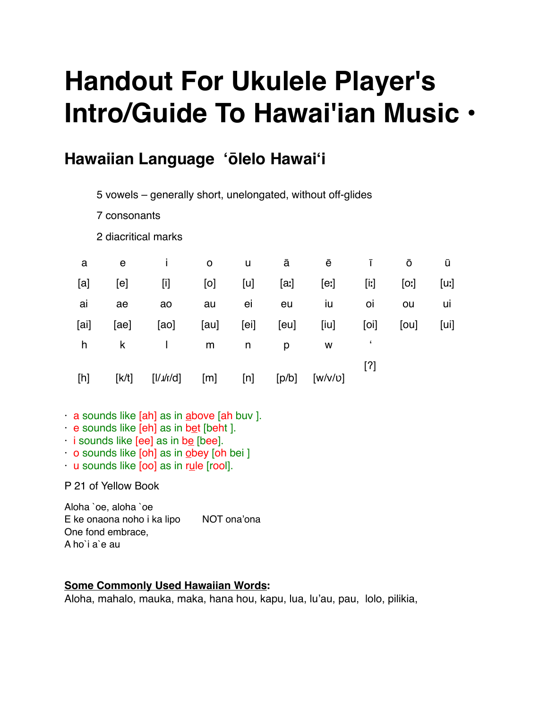# **Handout For Ukulele Player's Intro/Guide To Hawai'ian Music •**

# **Hawaiian Language ʻōlelo Hawaiʻi**

5 vowels – generally short, unelongated, without off-glides

7 consonants

2 diacritical marks

| a    | e     | L             | $\circ$ | u    | ā     | ē       | L       | Ō    | ū    |
|------|-------|---------------|---------|------|-------|---------|---------|------|------|
| [a]  | [e]   | $[1]$         | [0]     | [u]  | [a:]  | [e]     | $[$ iː] | [0,  | [uz] |
| ai   | ae    | ao            | au      | ei   | eu    | iu      | 0İ      | ou   | uı   |
| [ai] | [ae]  | [a]           | [au]    | [ei] | [eu]  | [iu]    | [0]     | [ou] | [ui] |
| h    | k     | T.            | m       | n    | р     | W       |         |      |      |
| [h]  | [K/t] | $[1/\nu/\nu]$ | [m]     | [n]  | [p/b] | [W/V/U] | $[?]$   |      |      |

- · a sounds like [ah] as in above [ah buv ].
- · e sounds like [eh] as in bet [beht ].
- $\cdot$  i sounds like [ee] as in be [bee].
- $\cdot$  o sounds like [oh] as in obey [oh bei ]
- · u sounds like [oo] as in rule [rool].

P 21 of Yellow Book

Aloha `oe, aloha `oe E ke onaona noho i ka lipo NOT ona'ona One fond embrace, A ho`i a`e au

### **Some Commonly Used Hawaiian Words:**

Aloha, mahalo, mauka, maka, hana hou, kapu, lua, lu'au, pau, lolo, pilikia,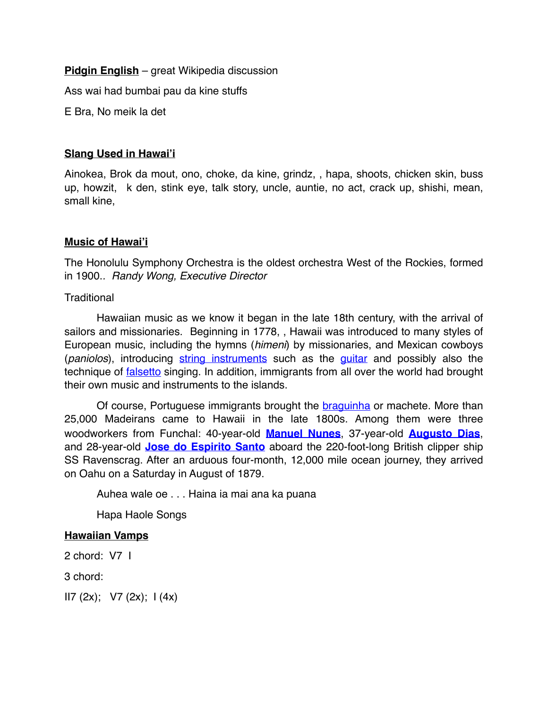**Pidgin English** – great Wikipedia discussion

Ass wai had bumbai pau da kine stuffs

E Bra, No meik la det

#### **Slang Used in Hawai'i**

Ainokea, Brok da mout, ono, choke, da kine, grindz, , hapa, shoots, chicken skin, buss up, howzit, k den, stink eye, talk story, uncle, auntie, no act, crack up, shishi, mean, small kine,

#### **Music of Hawai'i**

The Honolulu Symphony Orchestra is the oldest orchestra West of the Rockies, formed in 1900.*. Randy Wong, Executive Director*

**Traditional** 

Hawaiian music as we know it began in the late 18th century, with the arrival of sailors and missionaries. Beginning in 1778, , Hawaii was introduced to many styles of European music, including the hymns (*himeni*) by missionaries, and Mexican cowboys (*paniolos*), introducing [string instruments](https://en.wikipedia.org/wiki/String_instrument) such as the [guitar](https://en.wikipedia.org/wiki/Guitar) and possibly also the technique of **falsetto** singing. In addition, immigrants from all over the world had brought their own music and instruments to the islands.

Of course, Portuguese immigrants brought the [braguinha](https://en.wikipedia.org/wiki/Cavaquinho) or machete. More than 25,000 Madeirans came to Hawaii in the late 1800s. Among them were three woodworkers from Funchal: 40-year-old **[Manuel Nunes](http://www.ukulele.org/?Inductees:1997-1998:Manuel_Nunes)**, 37-year-old **[Augusto Dias](http://www.ukulele.org/?Inductees:2002-2003:Augusto_Dias)**, and 28-year-old **[Jose do Espirito Santo](http://www.ukulele.org/?Inductees:2002-2003:Jose_do_Espirito_Santo)** aboard the 220-foot-long British clipper ship SS Ravenscrag. After an arduous four-month, 12,000 mile ocean journey, they arrived on Oahu on a Saturday in August of 1879.

Auhea wale oe . . . Haina ia mai ana ka puana

Hapa Haole Songs

#### **Hawaiian Vamps**

2 chord: V7 I

3 chord:

 $II7 (2x); \quad VI (2x); \quad I (4x)$